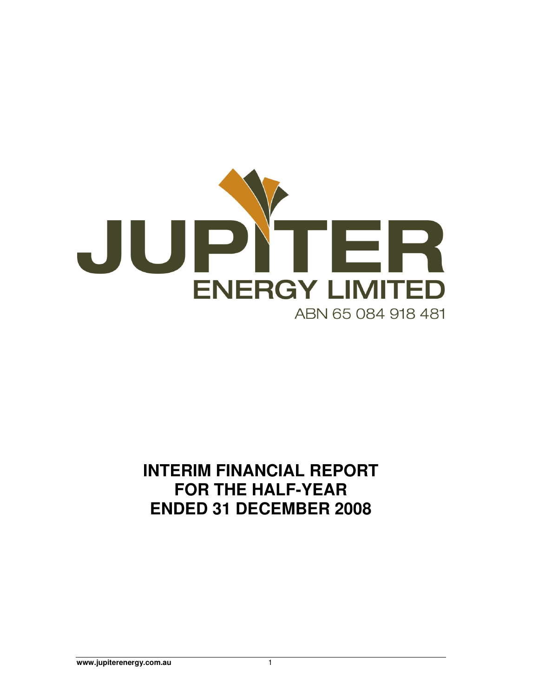

# **INTERIM FINANCIAL REPORT FOR THE HALF-YEAR ENDED 31 DECEMBER 2008**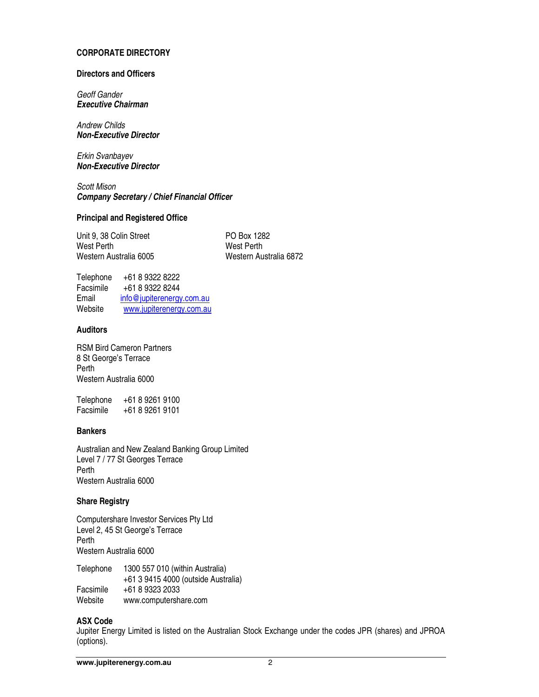#### **CORPORATE DIRECTORY**

#### **Directors and Officers**

Geoff Gander **Executive Chairman** 

Andrew Childs **Non-Executive Director** 

Erkin Svanbayev **Non-Executive Director** 

Scott Mison **Company Secretary / Chief Financial Officer** 

#### **Principal and Registered Office**

Unit 9, 38 Colin Street PO Box 1282 West Perth West Perth Western Australia 6005

Telephone +61 8 9322 8222 Facsimile +61 8 9322 8244 Email info@jupiterenergy.com.au Website www.jupiterenergy.com.au

# **Auditors**

RSM Bird Cameron Partners 8 St George's Terrace Perth Western Australia 6000

Telephone +61 8 9261 9100 Facsimile +61 8 9261 9101

# **Bankers**

Australian and New Zealand Banking Group Limited Level 7 / 77 St Georges Terrace Perth Western Australia 6000

# **Share Registry**

Computershare Investor Services Pty Ltd Level 2, 45 St George's Terrace Perth Western Australia 6000

Telephone 1300 557 010 (within Australia) +61 3 9415 4000 (outside Australia) Facsimile +61 8 9323 2033<br>Website www.computersh www.computershare.com

#### **ASX Code**

Jupiter Energy Limited is listed on the Australian Stock Exchange under the codes JPR (shares) and JPROA (options).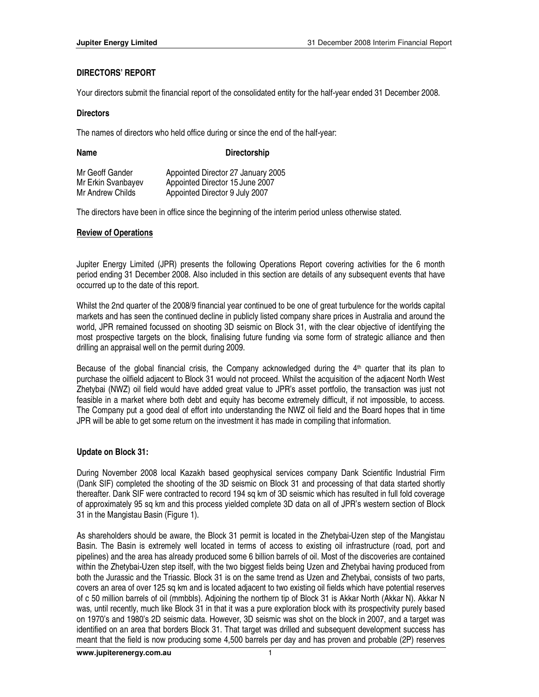# **DIRECTORS' REPORT**

Your directors submit the financial report of the consolidated entity for the half-year ended 31 December 2008.

#### **Directors**

The names of directors who held office during or since the end of the half-year:

| Name               | <b>Directorship</b>                |
|--------------------|------------------------------------|
| Mr Geoff Gander    | Appointed Director 27 January 2005 |
| Mr Erkin Svanbayev | Appointed Director 15 June 2007    |
| Mr Andrew Childs   | Appointed Director 9 July 2007     |

The directors have been in office since the beginning of the interim period unless otherwise stated.

# **Review of Operations**

Jupiter Energy Limited (JPR) presents the following Operations Report covering activities for the 6 month period ending 31 December 2008. Also included in this section are details of any subsequent events that have occurred up to the date of this report.

Whilst the 2nd quarter of the 2008/9 financial year continued to be one of great turbulence for the worlds capital markets and has seen the continued decline in publicly listed company share prices in Australia and around the world, JPR remained focussed on shooting 3D seismic on Block 31, with the clear objective of identifying the most prospective targets on the block, finalising future funding via some form of strategic alliance and then drilling an appraisal well on the permit during 2009.

Because of the global financial crisis, the Company acknowledged during the  $4<sup>th</sup>$  quarter that its plan to purchase the oilfield adjacent to Block 31 would not proceed. Whilst the acquisition of the adjacent North West Zhetybai (NWZ) oil field would have added great value to JPR's asset portfolio, the transaction was just not feasible in a market where both debt and equity has become extremely difficult, if not impossible, to access. The Company put a good deal of effort into understanding the NWZ oil field and the Board hopes that in time JPR will be able to get some return on the investment it has made in compiling that information.

# **Update on Block 31:**

During November 2008 local Kazakh based geophysical services company Dank Scientific Industrial Firm (Dank SIF) completed the shooting of the 3D seismic on Block 31 and processing of that data started shortly thereafter. Dank SIF were contracted to record 194 sq km of 3D seismic which has resulted in full fold coverage of approximately 95 sq km and this process yielded complete 3D data on all of JPR's western section of Block 31 in the Mangistau Basin (Figure 1).

As shareholders should be aware, the Block 31 permit is located in the Zhetybai-Uzen step of the Mangistau Basin. The Basin is extremely well located in terms of access to existing oil infrastructure (road, port and pipelines) and the area has already produced some 6 billion barrels of oil. Most of the discoveries are contained within the Zhetybai-Uzen step itself, with the two biggest fields being Uzen and Zhetybai having produced from both the Jurassic and the Triassic. Block 31 is on the same trend as Uzen and Zhetybai, consists of two parts, covers an area of over 125 sq km and is located adjacent to two existing oil fields which have potential reserves of c 50 million barrels of oil (mmbbls). Adjoining the northern tip of Block 31 is Akkar North (Akkar N). Akkar N was, until recently, much like Block 31 in that it was a pure exploration block with its prospectivity purely based on 1970's and 1980's 2D seismic data. However, 3D seismic was shot on the block in 2007, and a target was identified on an area that borders Block 31. That target was drilled and subsequent development success has meant that the field is now producing some 4,500 barrels per day and has proven and probable (2P) reserves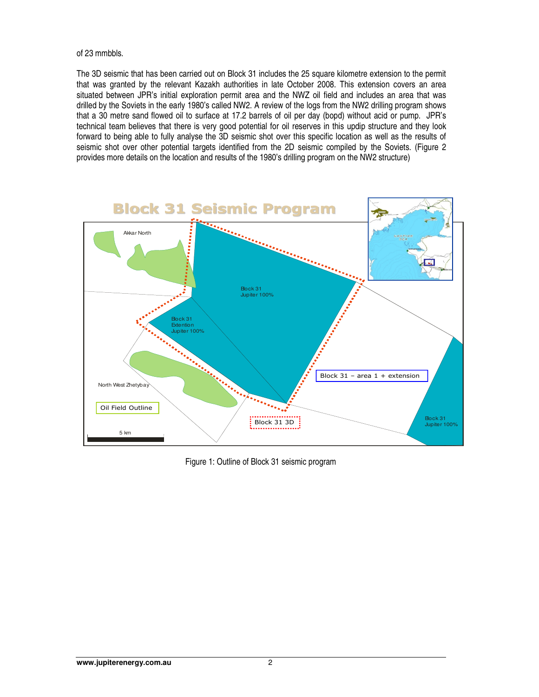of 23 mmbbls.

The 3D seismic that has been carried out on Block 31 includes the 25 square kilometre extension to the permit that was granted by the relevant Kazakh authorities in late October 2008. This extension covers an area situated between JPR's initial exploration permit area and the NWZ oil field and includes an area that was drilled by the Soviets in the early 1980's called NW2. A review of the logs from the NW2 drilling program shows that a 30 metre sand flowed oil to surface at 17.2 barrels of oil per day (bopd) without acid or pump. JPR's technical team believes that there is very good potential for oil reserves in this updip structure and they look forward to being able to fully analyse the 3D seismic shot over this specific location as well as the results of seismic shot over other potential targets identified from the 2D seismic compiled by the Soviets. (Figure 2 provides more details on the location and results of the 1980's drilling program on the NW2 structure)



Figure 1: Outline of Block 31 seismic program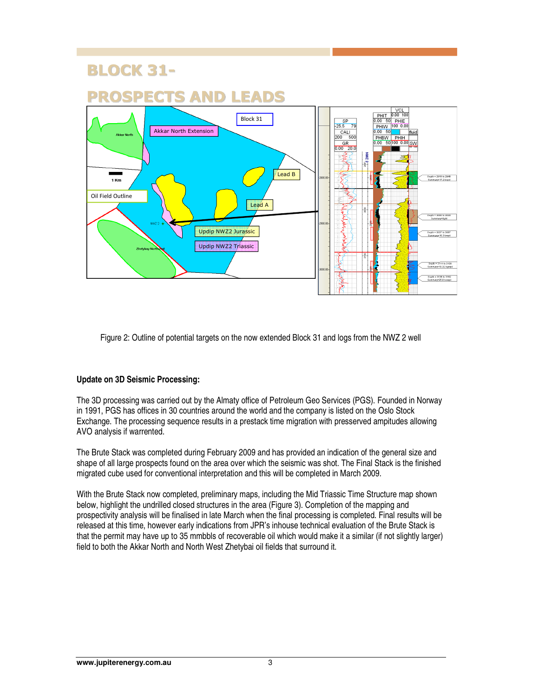# BLOCK 31-



Figure 2: Outline of potential targets on the now extended Block 31 and logs from the NWZ 2 well

# **Update on 3D Seismic Processing:**

The 3D processing was carried out by the Almaty office of Petroleum Geo Services (PGS). Founded in Norway in 1991, PGS has offices in 30 countries around the world and the company is listed on the Oslo Stock Exchange. The processing sequence results in a prestack time migration with presserved ampitudes allowing AVO analysis if warrented.

The Brute Stack was completed during February 2009 and has provided an indication of the general size and shape of all large prospects found on the area over which the seismic was shot. The Final Stack is the finished migrated cube used for conventional interpretation and this will be completed in March 2009.

With the Brute Stack now completed, preliminary maps, including the Mid Triassic Time Structure map shown below, highlight the undrilled closed structures in the area (Figure 3). Completion of the mapping and prospectivity analysis will be finalised in late March when the final processing is completed. Final results will be released at this time, however early indications from JPR's inhouse technical evaluation of the Brute Stack is that the permit may have up to 35 mmbbls of recoverable oil which would make it a similar (if not slightly larger) field to both the Akkar North and North West Zhetybai oil fields that surround it.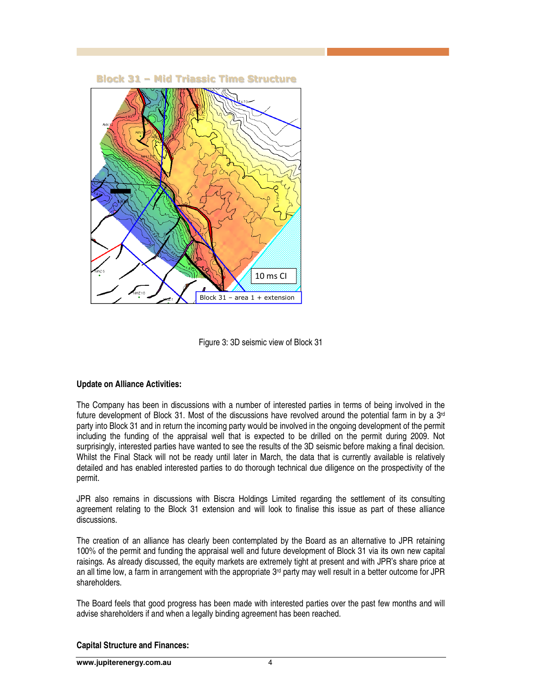

Figure 3: 3D seismic view of Block 31

# **Update on Alliance Activities:**

The Company has been in discussions with a number of interested parties in terms of being involved in the future development of Block 31. Most of the discussions have revolved around the potential farm in by a  $3<sup>rd</sup>$ party into Block 31 and in return the incoming party would be involved in the ongoing development of the permit including the funding of the appraisal well that is expected to be drilled on the permit during 2009. Not surprisingly, interested parties have wanted to see the results of the 3D seismic before making a final decision. Whilst the Final Stack will not be ready until later in March, the data that is currently available is relatively detailed and has enabled interested parties to do thorough technical due diligence on the prospectivity of the permit.

JPR also remains in discussions with Biscra Holdings Limited regarding the settlement of its consulting agreement relating to the Block 31 extension and will look to finalise this issue as part of these alliance discussions.

The creation of an alliance has clearly been contemplated by the Board as an alternative to JPR retaining 100% of the permit and funding the appraisal well and future development of Block 31 via its own new capital raisings. As already discussed, the equity markets are extremely tight at present and with JPR's share price at an all time low, a farm in arrangement with the appropriate  $3<sup>rd</sup>$  party may well result in a better outcome for JPR shareholders.

The Board feels that good progress has been made with interested parties over the past few months and will advise shareholders if and when a legally binding agreement has been reached.

# **Capital Structure and Finances:**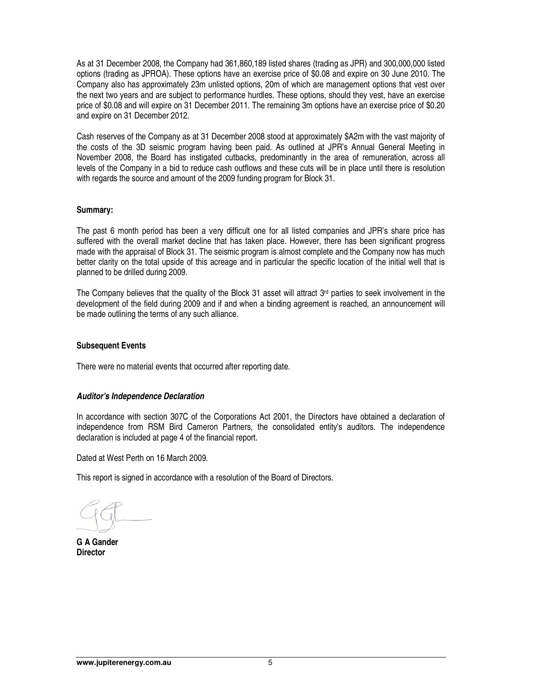As at 31 December 2008, the Company had 361,860,189 listed shares (trading as JPR) and 300,000,000 listed options (trading as JPROA). These options have an exercise price of \$0.08 and expire on 30 June 2010. The Company also has approximately 23m unlisted options, 20m of which are management options that vest over the next two years and are subject to performance hurdles. These options, should they vest, have an exercise price of \$0.08 and will expire on 31 December 2011. The remaining 3m options have an exercise price of \$0.20 and expire on 31 December 2012.

Cash reserves of the Company as at 31 December 2008 stood at approximately \$A2m with the vast majority of the costs of the 3D seismic program having been paid. As outlined at JPR's Annual General Meeting in November 2008, the Board has instigated cutbacks, predominantly in the area of remuneration, across all levels of the Company in a bid to reduce cash outflows and these cuts will be in place until there is resolution with regards the source and amount of the 2009 funding program for Block 31.

#### **Summary:**

The past 6 month period has been a very difficult one for all listed companies and JPR's share price has suffered with the overall market decline that has taken place. However, there has been significant progress made with the appraisal of Block 31. The seismic program is almost complete and the Company now has much better clarity on the total upside of this acreage and in particular the specific location of the initial well that is planned to be drilled during 2009.

The Company believes that the quality of the Block 31 asset will attract  $3<sup>rd</sup>$  parties to seek involvement in the development of the field during 2009 and if and when a binding agreement is reached, an announcement will be made outlining the terms of any such alliance.

# **Subsequent Events**

There were no material events that occurred after reporting date.

# **Auditor's Independence Declaration**

In accordance with section 307C of the Corporations Act 2001, the Directors have obtained a declaration of independence from RSM Bird Cameron Partners, the consolidated entity's auditors. The independence declaration is included at page 4 of the financial report.

Dated at West Perth on 16 March 2009.

This report is signed in accordance with a resolution of the Board of Directors.

**G A Gander Director**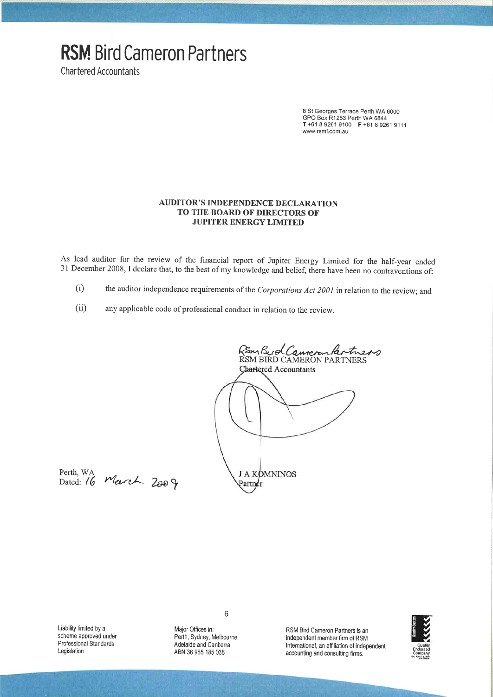# **RSM Bird Cameron Partners**

**Chartered Accountants** 

8 St Georges Terrace Perth WA 6000 GPO Box R1253 Perth WA 6844<br>T +61 8 9261 9100 F +61 8 9261 9111 www.rsmi.com.au

## **AUDITOR'S INDEPENDENCE DECLARATION** TO THE BOARD OF DIRECTORS OF **JUPITER ENERGY LIMITED**

As lead auditor for the review of the financial report of Jupiter Energy Limited for the half-year ended 31 December 2008, I declare that, to the best of my knowledge and belief, there have been no contraventions of:

- the auditor independence requirements of the Corporations Act 2001 in relation to the review; and  $(i)$
- $(ii)$ any applicable code of professional conduct in relation to the review.

RSm Bud Camerankertners Chartered Accountants **J A KOMNINOS** Partnér

Perth, WA<br>Dated: 16 March 2009

Liability limited by a scheme approved under Professional Standards Legislation

Major Offices in: Perth, Sydney, Melbourne, Adelaide and Canberra ABN 36 965 185 036

 $6\phantom{1}6$ 

RSM Bird Cameron Partners is an independent member firm of RSM International, an affiliation of independent accounting and consulting firms.

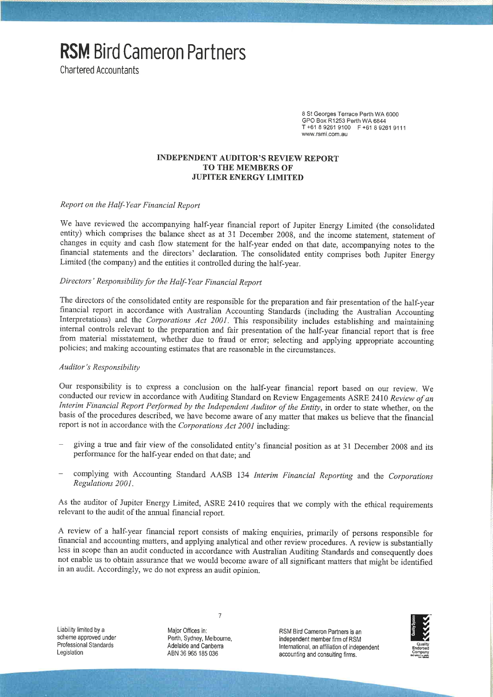**Chartered Accountants** 

8 St Georges Terrace Perth WA 6000 GPO Box R1253 Perth WA 6844 T+61892619100 F+61892619111 www.rsmi.com.au

#### **INDEPENDENT AUDITOR'S REVIEW REPORT TO THE MEMBERS OF JUPITER ENERGY LIMITED**

Report on the Half-Year Financial Report

**RSM**. Bird Cameron Partners

We have reviewed the accompanying half-year financial report of Jupiter Energy Limited (the consolidated entity) which comprises the balance sheet as at 31 December 2008, and the income statement, statement of changes in equity and cash flow statement for the half-year ended on that date, accompanying notes to the financial statements and the directors' declaration. The consolidated entity comprises both Jupiter Energy Limited (the company) and the entities it controlled during the half-year.

# Directors' Responsibility for the Half-Year Financial Report

The directors of the consolidated entity are responsible for the preparation and fair presentation of the half-year financial report in accordance with Australian Accounting Standards (including the Australian Accounting Interpretations) and the Corporations Act 2001. This responsibility includes establishing and maintaining internal controls relevant to the preparation and fair presentation of the half-year financial report that is free from material misstatement, whether due to fraud or error; selecting and applying appropriate accounting policies; and making accounting estimates that are reasonable in the circumstances.

#### Auditor's Responsibility

Our responsibility is to express a conclusion on the half-year financial report based on our review. We conducted our review in accordance with Auditing Standard on Review Engagements ASRE 2410 Review of an Interim Financial Report Performed by the Independent Auditor of the Entity, in order to state whether, on the basis of the procedures described, we have become aware of any matter that makes us believe that the financial report is not in accordance with the Corporations Act 2001 including:

- giving a true and fair view of the consolidated entity's financial position as at 31 December 2008 and its performance for the half-year ended on that date; and
- complying with Accounting Standard AASB 134 Interim Financial Reporting and the Corporations Regulations 2001.

As the auditor of Jupiter Energy Limited, ASRE 2410 requires that we comply with the ethical requirements relevant to the audit of the annual financial report.

A review of a half-year financial report consists of making enquiries, primarily of persons responsible for financial and accounting matters, and applying analytical and other review procedures. A review is substantially less in scope than an audit conducted in accordance with Australian Auditing Standards and consequently does not enable us to obtain assurance that we would become aware of all significant matters that might be identified in an audit. Accordingly, we do not express an audit opinion.

Liability limited by a scheme approved under Professional Standards Legislation

Major Offices in: Perth, Sydney, Melbourne, Adelaide and Canberra ABN 36 965 185 036

 $\overline{7}$ 

RSM Bird Cameron Partners is an independent member firm of RSM International, an affiliation of independent accounting and consulting firms.

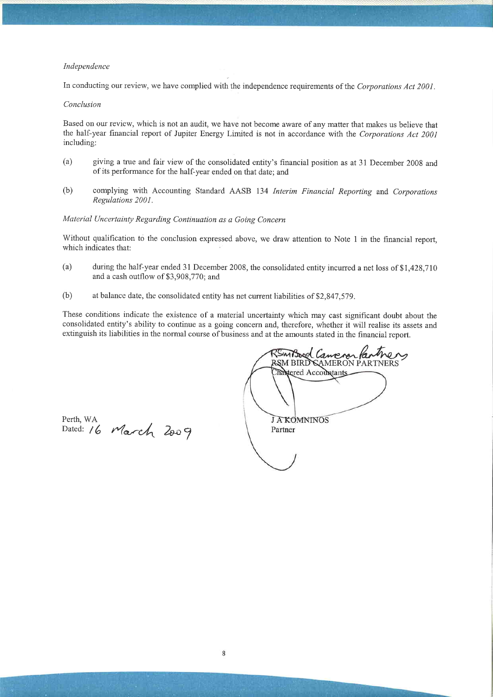#### Independence

In conducting our review, we have complied with the independence requirements of the Corporations Act 2001.

#### Conclusion

Based on our review, which is not an audit, we have not become aware of any matter that makes us believe that the half-year financial report of Jupiter Energy Limited is not in accordance with the Corporations Act 2001 including:

- $(a)$ giving a true and fair view of the consolidated entity's financial position as at 31 December 2008 and of its performance for the half-year ended on that date; and
- complying with Accounting Standard AASB 134 Interim Financial Reporting and Corporations  $(b)$ Regulations 2001.

# Material Uncertainty Regarding Continuation as a Going Concern

Without qualification to the conclusion expressed above, we draw attention to Note 1 in the financial report, which indicates that:

- during the half-year ended 31 December 2008, the consolidated entity incurred a net loss of \$1,428,710  $(a)$ and a cash outflow of \$3,908,770; and
- $(b)$ at balance date, the consolidated entity has net current liabilities of \$2,847,579.

These conditions indicate the existence of a material uncertainty which may cast significant doubt about the consolidated entity's ability to continue as a going concern and, therefore, whether it will realise its assets and extinguish its liabilities in the normal course of business and at the amounts stated in the financial report.

Perth, WA<br>Dated: 16 March 2009

*Smitzogol Canen* RSM BIRD CAMERON PARTNERS Transtered Accountants **JAKOMNINOS** Partner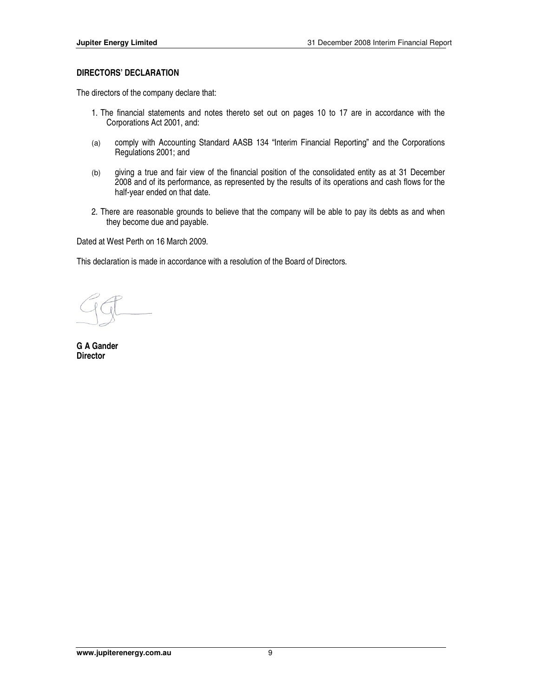# **DIRECTORS' DECLARATION**

The directors of the company declare that:

- 1. The financial statements and notes thereto set out on pages 10 to 17 are in accordance with the Corporations Act 2001, and:
- (a) comply with Accounting Standard AASB 134 "Interim Financial Reporting" and the Corporations Regulations 2001; and
- (b) giving a true and fair view of the financial position of the consolidated entity as at 31 December 2008 and of its performance, as represented by the results of its operations and cash flows for the half-year ended on that date.
- 2. There are reasonable grounds to believe that the company will be able to pay its debts as and when they become due and payable.

Dated at West Perth on 16 March 2009.

This declaration is made in accordance with a resolution of the Board of Directors.

**G A Gander Director**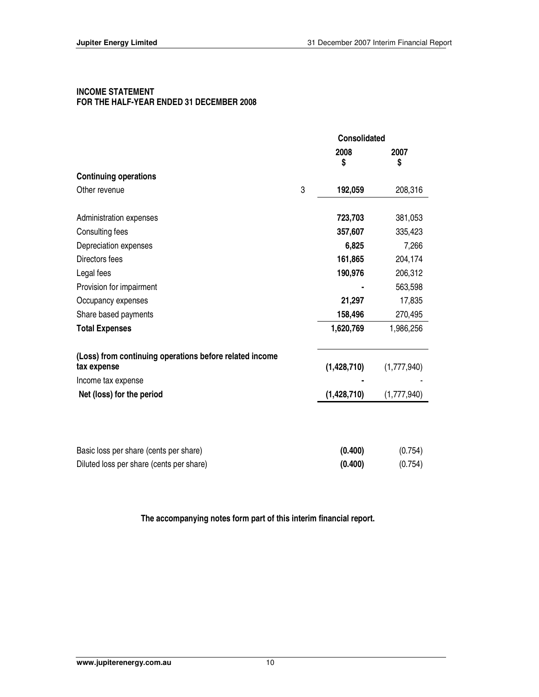# **INCOME STATEMENT FOR THE HALF-YEAR ENDED 31 DECEMBER 2008**

|                                                                        |   | <b>Consolidated</b> |             |
|------------------------------------------------------------------------|---|---------------------|-------------|
|                                                                        |   | 2008                | 2007        |
|                                                                        |   | \$                  | \$          |
| <b>Continuing operations</b>                                           |   |                     |             |
| Other revenue                                                          | 3 | 192,059             | 208,316     |
| Administration expenses                                                |   | 723,703             | 381,053     |
| Consulting fees                                                        |   | 357,607             | 335,423     |
| Depreciation expenses                                                  |   | 6,825               | 7,266       |
| Directors fees                                                         |   | 161,865             | 204,174     |
| Legal fees                                                             |   | 190,976             | 206,312     |
| Provision for impairment                                               |   |                     | 563,598     |
| Occupancy expenses                                                     |   | 21,297              | 17,835      |
| Share based payments                                                   |   | 158,496             | 270,495     |
| <b>Total Expenses</b>                                                  |   | 1,620,769           | 1,986,256   |
| (Loss) from continuing operations before related income<br>tax expense |   | (1,428,710)         | (1,777,940) |
| Income tax expense                                                     |   |                     |             |
| Net (loss) for the period                                              |   | (1,428,710)         | (1,777,940) |
|                                                                        |   |                     |             |
| Basic loss per share (cents per share)                                 |   | (0.400)             | (0.754)     |
| Diluted loss per share (cents per share)                               |   | (0.400)             | (0.754)     |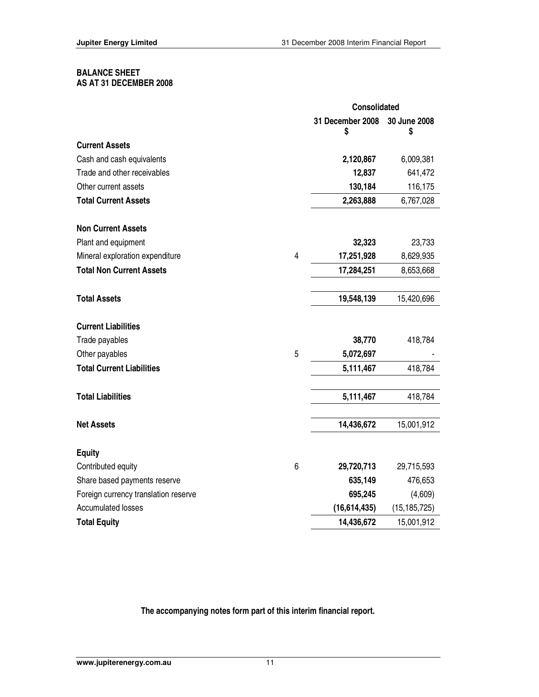#### **BALANCE SHEET AS AT 31 DECEMBER 2008**

|                                      |   | Consolidated          |                    |  |
|--------------------------------------|---|-----------------------|--------------------|--|
|                                      |   | 31 December 2008<br>S | 30 June 2008<br>\$ |  |
| <b>Current Assets</b>                |   |                       |                    |  |
| Cash and cash equivalents            |   | 2,120,867             | 6,009,381          |  |
| Trade and other receivables          |   | 12,837                | 641,472            |  |
| Other current assets                 |   | 130,184               | 116,175            |  |
| <b>Total Current Assets</b>          |   | 2,263,888             | 6,767,028          |  |
| <b>Non Current Assets</b>            |   |                       |                    |  |
| Plant and equipment                  |   | 32,323                | 23,733             |  |
| Mineral exploration expenditure      | 4 | 17,251,928            | 8,629,935          |  |
| <b>Total Non Current Assets</b>      |   | 17,284,251            | 8,653,668          |  |
| <b>Total Assets</b>                  |   | 19,548,139            | 15,420,696         |  |
| <b>Current Liabilities</b>           |   |                       |                    |  |
| Trade payables                       |   | 38,770                | 418,784            |  |
| Other payables                       | 5 | 5,072,697             |                    |  |
| <b>Total Current Liabilities</b>     |   | 5,111,467             | 418,784            |  |
| <b>Total Liabilities</b>             |   | 5,111,467             | 418,784            |  |
| <b>Net Assets</b>                    |   | 14,436,672            | 15,001,912         |  |
| <b>Equity</b>                        |   |                       |                    |  |
| Contributed equity                   | 6 | 29,720,713            | 29,715,593         |  |
| Share based payments reserve         |   | 635,149               | 476,653            |  |
| Foreign currency translation reserve |   | 695,245               | (4,609)            |  |
| <b>Accumulated losses</b>            |   | (16,614,435)          | (15, 185, 725)     |  |
| <b>Total Equity</b>                  |   | 14,436,672            | 15,001,912         |  |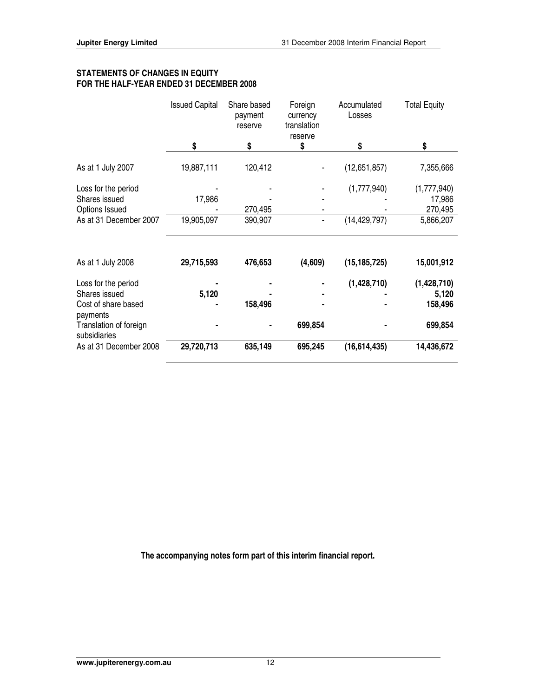| <b>FOR THE HALF-YEAR ENDED 31 DECEMBER 2008</b> |                       |                                   |                                               |                       |                     |
|-------------------------------------------------|-----------------------|-----------------------------------|-----------------------------------------------|-----------------------|---------------------|
|                                                 | <b>Issued Capital</b> | Share based<br>payment<br>reserve | Foreign<br>currency<br>translation<br>reserve | Accumulated<br>Losses | <b>Total Equity</b> |
|                                                 |                       | S                                 |                                               | S                     |                     |
| As at 1 July 2007                               | 19,887,111            | 120,412                           |                                               | (12,651,857)          | 7,355,666           |
| Loss for the period                             |                       |                                   |                                               | (1,777,940)           | (1,777,940)         |
| Shares issued                                   | 17,986                |                                   |                                               |                       | 17,986              |
| Options Issued                                  |                       | 270,495                           |                                               |                       | 270,495             |

# **STATEMENTS OF CHANGES IN EQUITY FOR THE HALF-YEAR ENDED 31 DECEMBER 2008**

| As at 31 December 2007                 | 19,905,097 | 390,907 | ۰       | (14, 429, 797) | 5,866,207   |
|----------------------------------------|------------|---------|---------|----------------|-------------|
| As at 1 July 2008                      | 29,715,593 | 476,653 | (4,609) | (15, 185, 725) | 15,001,912  |
| Loss for the period                    |            |         | ٠       | (1,428,710)    | (1,428,710) |
| Shares issued                          | 5,120      |         | ۰       |                | 5,120       |
| Cost of share based<br>payments        | ٠          | 158,496 | ٠       |                | 158,496     |
| Translation of foreign<br>subsidiaries | ٠          |         | 699,854 |                | 699,854     |
| As at 31 December 2008                 | 29,720,713 | 635,149 | 695,245 | (16,614,435)   | 14,436,672  |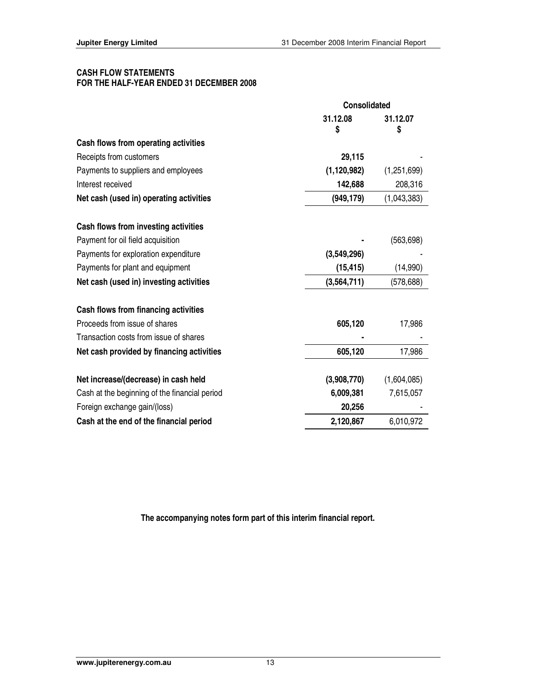# **CASH FLOW STATEMENTS FOR THE HALF-YEAR ENDED 31 DECEMBER 2008**

|                                               | <b>Consolidated</b> |               |
|-----------------------------------------------|---------------------|---------------|
|                                               | 31.12.08<br>S       | 31.12.07<br>S |
| Cash flows from operating activities          |                     |               |
| Receipts from customers                       | 29,115              |               |
| Payments to suppliers and employees           | (1, 120, 982)       | (1,251,699)   |
| Interest received                             | 142,688             | 208,316       |
| Net cash (used in) operating activities       | (949, 179)          | (1,043,383)   |
| Cash flows from investing activities          |                     |               |
| Payment for oil field acquisition             |                     | (563, 698)    |
| Payments for exploration expenditure          | (3,549,296)         |               |
| Payments for plant and equipment              | (15, 415)           | (14,990)      |
| Net cash (used in) investing activities       | (3,564,711)         | (578, 688)    |
| Cash flows from financing activities          |                     |               |
| Proceeds from issue of shares                 | 605,120             | 17,986        |
| Transaction costs from issue of shares        |                     |               |
| Net cash provided by financing activities     | 605,120             | 17,986        |
| Net increase/(decrease) in cash held          | (3,908,770)         | (1,604,085)   |
| Cash at the beginning of the financial period | 6,009,381           | 7,615,057     |
| Foreign exchange gain/(loss)                  | 20,256              |               |
| Cash at the end of the financial period       | 2,120,867           | 6,010,972     |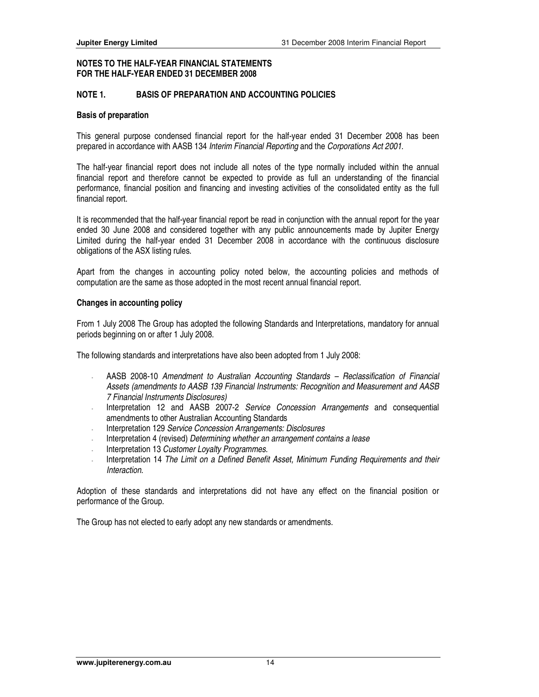# **NOTE 1. BASIS OF PREPARATION AND ACCOUNTING POLICIES**

#### **Basis of preparation**

This general purpose condensed financial report for the half-year ended 31 December 2008 has been prepared in accordance with AASB 134 Interim Financial Reporting and the Corporations Act 2001.

The half-year financial report does not include all notes of the type normally included within the annual financial report and therefore cannot be expected to provide as full an understanding of the financial performance, financial position and financing and investing activities of the consolidated entity as the full financial report.

It is recommended that the half-year financial report be read in conjunction with the annual report for the year ended 30 June 2008 and considered together with any public announcements made by Jupiter Energy Limited during the half-year ended 31 December 2008 in accordance with the continuous disclosure obligations of the ASX listing rules.

Apart from the changes in accounting policy noted below, the accounting policies and methods of computation are the same as those adopted in the most recent annual financial report.

#### **Changes in accounting policy**

From 1 July 2008 The Group has adopted the following Standards and Interpretations, mandatory for annual periods beginning on or after 1 July 2008.

The following standards and interpretations have also been adopted from 1 July 2008:

- AASB 2008-10 Amendment to Australian Accounting Standards Reclassification of Financial Assets (amendments to AASB 139 Financial Instruments: Recognition and Measurement and AASB 7 Financial Instruments Disclosures)
- Interpretation 12 and AASB 2007-2 Service Concession Arrangements and consequential amendments to other Australian Accounting Standards
- Interpretation 129 Service Concession Arrangements: Disclosures
- Interpretation 4 (revised) Determining whether an arrangement contains a lease
- Interpretation 13 Customer Loyalty Programmes.
- Interpretation 14 The Limit on a Defined Benefit Asset, Minimum Funding Requirements and their Interaction.

Adoption of these standards and interpretations did not have any effect on the financial position or performance of the Group.

The Group has not elected to early adopt any new standards or amendments.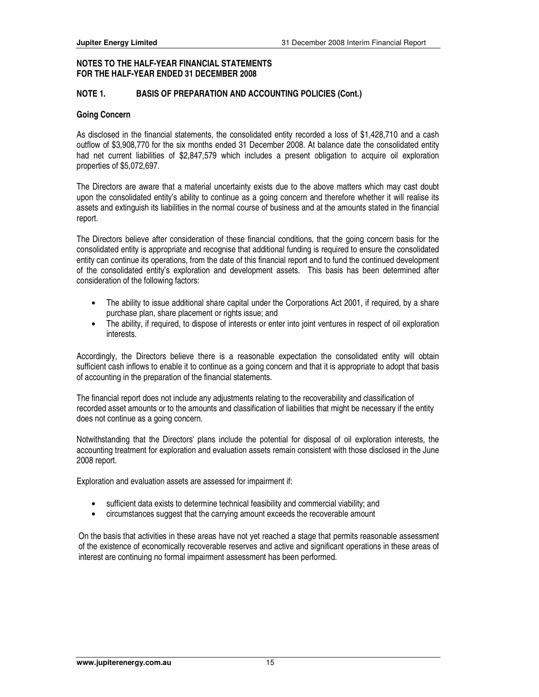# **NOTE 1. BASIS OF PREPARATION AND ACCOUNTING POLICIES (Cont.)**

#### **Going Concern**

As disclosed in the financial statements, the consolidated entity recorded a loss of \$1,428,710 and a cash outflow of \$3,908,770 for the six months ended 31 December 2008. At balance date the consolidated entity had net current liabilities of \$2,847,579 which includes a present obligation to acquire oil exploration properties of \$5,072,697.

The Directors are aware that a material uncertainty exists due to the above matters which may cast doubt upon the consolidated entity's ability to continue as a going concern and therefore whether it will realise its assets and extinguish its liabilities in the normal course of business and at the amounts stated in the financial report.

The Directors believe after consideration of these financial conditions, that the going concern basis for the consolidated entity is appropriate and recognise that additional funding is required to ensure the consolidated entity can continue its operations, from the date of this financial report and to fund the continued development of the consolidated entity's exploration and development assets. This basis has been determined after consideration of the following factors:

- The ability to issue additional share capital under the Corporations Act 2001, if required, by a share purchase plan, share placement or rights issue; and
- The ability, if required, to dispose of interests or enter into joint ventures in respect of oil exploration interests.

Accordingly, the Directors believe there is a reasonable expectation the consolidated entity will obtain sufficient cash inflows to enable it to continue as a going concern and that it is appropriate to adopt that basis of accounting in the preparation of the financial statements.

The financial report does not include any adjustments relating to the recoverability and classification of recorded asset amounts or to the amounts and classification of liabilities that might be necessary if the entity does not continue as a going concern.

Notwithstanding that the Directors' plans include the potential for disposal of oil exploration interests, the accounting treatment for exploration and evaluation assets remain consistent with those disclosed in the June 2008 report.

Exploration and evaluation assets are assessed for impairment if:

- sufficient data exists to determine technical feasibility and commercial viability; and
- circumstances suggest that the carrying amount exceeds the recoverable amount

On the basis that activities in these areas have not yet reached a stage that permits reasonable assessment of the existence of economically recoverable reserves and active and significant operations in these areas of interest are continuing no formal impairment assessment has been performed.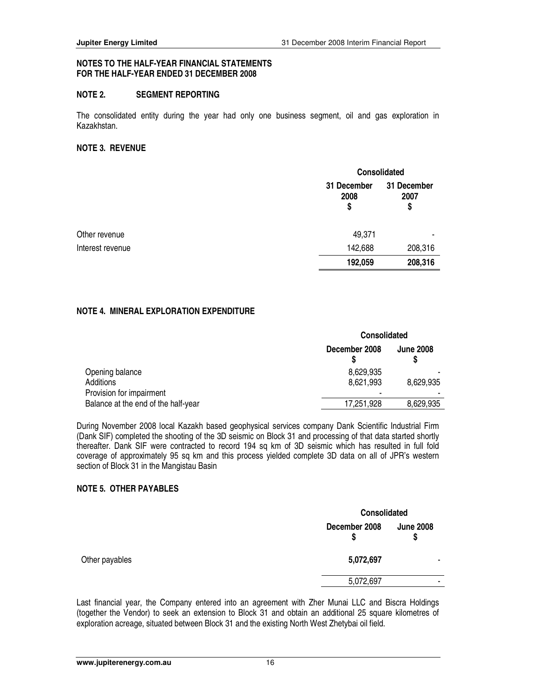# **NOTE 2. SEGMENT REPORTING**

The consolidated entity during the year had only one business segment, oil and gas exploration in Kazakhstan.

#### **NOTE 3. REVENUE**

|                  |                           | Consolidated              |  |  |
|------------------|---------------------------|---------------------------|--|--|
|                  | 31 December<br>2008<br>\$ | 31 December<br>2007<br>\$ |  |  |
| Other revenue    | 49,371                    |                           |  |  |
| Interest revenue | 142,688                   | 208,316                   |  |  |
|                  | 192,059                   | 208,316                   |  |  |

# **NOTE 4. MINERAL EXPLORATION EXPENDITURE**

|                                     | <b>Consolidated</b> |                  |  |
|-------------------------------------|---------------------|------------------|--|
|                                     | December 2008       | <b>June 2008</b> |  |
| Opening balance                     | 8.629,935           |                  |  |
| Additions                           | 8.621.993           | 8,629,935        |  |
| Provision for impairment            |                     |                  |  |
| Balance at the end of the half-year | 17,251,928          | 8,629,935        |  |

During November 2008 local Kazakh based geophysical services company Dank Scientific Industrial Firm (Dank SIF) completed the shooting of the 3D seismic on Block 31 and processing of that data started shortly thereafter. Dank SIF were contracted to record 194 sq km of 3D seismic which has resulted in full fold coverage of approximately 95 sq km and this process yielded complete 3D data on all of JPR's western section of Block 31 in the Mangistau Basin

#### **NOTE 5. OTHER PAYABLES**

|                |                    | <b>Consolidated</b>    |  |  |
|----------------|--------------------|------------------------|--|--|
|                | December 2008<br>S | <b>June 2008</b><br>\$ |  |  |
| Other payables | 5,072,697          | -                      |  |  |
|                | 5,072,697          |                        |  |  |

Last financial year, the Company entered into an agreement with Zher Munai LLC and Biscra Holdings (together the Vendor) to seek an extension to Block 31 and obtain an additional 25 square kilometres of exploration acreage, situated between Block 31 and the existing North West Zhetybai oil field.